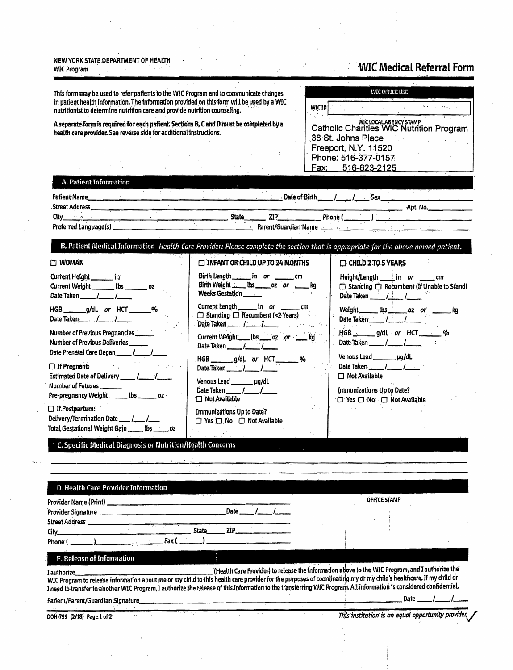#### NEW YORK STATE DEPARTMENT OF HEALTH **WIC Program**

# **WIC Medical Referral Form**

∕

This form may be used to refer patients to the WIC Program and to communicate changes in patient health information. The information provided on this form will be used by a WIC nutritionist to determine nutrition care and provide nutrition counseling.

A separate form is required for each patient. Sections B, C and D must be completed by a health care provider. See reverse side for additional instructions.

3 T

## **WIC OFFICE USE**

| WIC ID                                                                       |  |
|------------------------------------------------------------------------------|--|
| n film<br>WIC LOCAL AGENCY STAMP<br>Catholic Charities WIC Nutrition Program |  |
| 38 St. Johns Place                                                           |  |
| Freeport, N.Y. 11520                                                         |  |
| Phone: 516-377-0157                                                          |  |
| <u>516-623-2125</u><br><u>Fax: </u>                                          |  |

### A. Patient Information

| Patient Name          |  |       | Date of Birth        |         | Sex |          |  |
|-----------------------|--|-------|----------------------|---------|-----|----------|--|
| <b>Street Address</b> |  |       |                      |         |     | Apt. No. |  |
| City                  |  | State | ZIP                  | Phone ( |     |          |  |
| Preferred Language(s) |  |       | Parent/Guardian Name |         |     |          |  |

## B. Patient Medical Information Health Care Provider: Please complete the section that is appropriate for the above named patient.

| <b>CI WOMAN</b>                                                                                                       | <b>INFANT OR CHILD UP TO 24 MONTHS</b>                                                                                       | CHILD 2 TO 5 YEARS                                                                                                   |
|-----------------------------------------------------------------------------------------------------------------------|------------------------------------------------------------------------------------------------------------------------------|----------------------------------------------------------------------------------------------------------------------|
| Current Height _________ in<br>Current Weight ________ lbs _________ .oz<br>Date Taken / /                            | Birth Length _______ in or ________ cm<br>Birth Weight _____ lbs ______ oz or _____ kg<br>Weeks Gestation _______            | Height/Length in or ______ cm<br>$\Box$ Standing $\Box$ Recumbent (If Unable to Stand)<br>Date Taken $\frac{1}{2}$ / |
| HGB _______ g/dL or HCT _______%<br>Date Taken $1 - 1$                                                                | Current Length _______ in or ________ cm<br>□ Standing □ Recumbent (<2 Years)<br>Date Taken $\frac{1}{\sqrt{1-\frac{1}{2}}}$ | Weight _______ lbs _______ oz or ________ kg                                                                         |
| Number of Previous Pregnancies<br><b>Number of Previous Deliveries</b><br>Date Prenatal Care Began _____ /_____       | Current Weight ___ lbs ____ oz __ or _____ kg<br>Date Taken / /                                                              | HGB _____ g/dL or HCT ______ %<br>Date Taken / /                                                                     |
| $\Box$ If Pregnant:<br>Estimated Date of Delivery ______ /______ /______                                              | HGB ______ g/dL or HCT ______ %<br>Date Taken ______ /______ /______<br>Venous Lead ________ µg/dL                           | Venous Lead __________ µg/dL<br>Date Taken $1/2$<br>$\Box$ Not Available                                             |
| Number of Fetuses ________<br>Pre-pregnancy Weight $\rule{1em}{0.15mm}$ $\mu$ tbs $\rule{1.15mm}{0.15mm}$ $\mu$       | Date Taken $\qquad \qquad \blacksquare$<br>$\Box$ Not Available                                                              | <b>Immunizations Up to Date?</b><br>□ Yes □ No □ Not Available                                                       |
| $\Box$ If Postpartum:<br>Delivery/Termination Date ___ /___ /___<br>Total Gestational Weight Gain _____ lbs ______ 07 | Immunizations Up to Date?<br>$\Box$ Yes $\Box$ No $\Box$ Not Available                                                       |                                                                                                                      |
| <b>All Constitutions of the constant and</b>                                                                          |                                                                                                                              |                                                                                                                      |

C. Specific Medical Diagnosis or Nutrition/Health Concerns

| Provider Name (Print)                                                                                                                                                                                                                                                                                                                                  |       |            |  | OFFICE STAMP                                                                                    |  |      |  |  |
|--------------------------------------------------------------------------------------------------------------------------------------------------------------------------------------------------------------------------------------------------------------------------------------------------------------------------------------------------------|-------|------------|--|-------------------------------------------------------------------------------------------------|--|------|--|--|
| Provider Signature<br><b>Street Address</b>                                                                                                                                                                                                                                                                                                            |       | Date -     |  |                                                                                                 |  |      |  |  |
| City :<br>Fax (<br>Phone (                                                                                                                                                                                                                                                                                                                             | State | <b>ZIP</b> |  |                                                                                                 |  |      |  |  |
| E. Release of Information                                                                                                                                                                                                                                                                                                                              |       |            |  |                                                                                                 |  |      |  |  |
| Lauthorize<br>WIC Program to release information about me or my child to this health care provider for the purposes of coordinating my or my child's healthcare. If my child or<br>I need to transfer to another WIC Program, I authorize the release of this information to the transferring WIC Program. All information is considered confidential. |       |            |  | (Health Care Provider) to release the information above to the WIC Program, and I authorize the |  |      |  |  |
| Patient/Parent/Guardian Signature.                                                                                                                                                                                                                                                                                                                     |       |            |  |                                                                                                 |  | Date |  |  |